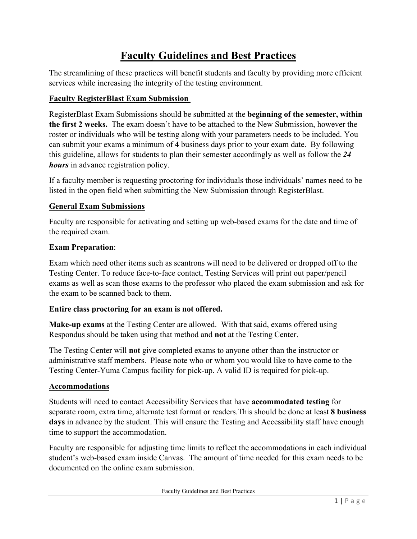# **Faculty Guidelines and Best Practices**

The streamlining of these practices will benefit students and faculty by providing more efficient services while increasing the integrity of the testing environment.

# **Faculty RegisterBlast Exam Submission**

RegisterBlast Exam Submissions should be submitted at the **beginning of the semester, within the first 2 weeks.** The exam doesn't have to be attached to the New Submission, however the roster or individuals who will be testing along with your parameters needs to be included. You can submit your exams a minimum of **4** business days prior to your exam date. By following this guideline, allows for students to plan their semester accordingly as well as follow the *24 hours* in advance registration policy.

If a faculty member is requesting proctoring for individuals those individuals' names need to be listed in the open field when submitting the New Submission through RegisterBlast.

# **General Exam Submissions**

Faculty are responsible for activating and setting up web-based exams for the date and time of the required exam.

# **Exam Preparation**:

Exam which need other items such as scantrons will need to be delivered or dropped off to the Testing Center. To reduce face-to-face contact, Testing Services will print out paper/pencil exams as well as scan those exams to the professor who placed the exam submission and ask for the exam to be scanned back to them.

# **Entire class proctoring for an exam is not offered.**

**Make-up exams** at the Testing Center are allowed. With that said, exams offered using Respondus should be taken using that method and **not** at the Testing Center.

The Testing Center will **not** give completed exams to anyone other than the instructor or administrative staff members. Please note who or whom you would like to have come to the Testing Center-Yuma Campus facility for pick-up. A valid ID is required for pick-up.

# **Accommodations**

Students will need to contact Accessibility Services that have **accommodated testing** for separate room, extra time, alternate test format or readers.This should be done at least **8 business days** in advance by the student. This will ensure the Testing and Accessibility staff have enough time to support the accommodation.

Faculty are responsible for adjusting time limits to reflect the accommodations in each individual student's web-based exam inside Canvas. The amount of time needed for this exam needs to be documented on the online exam submission.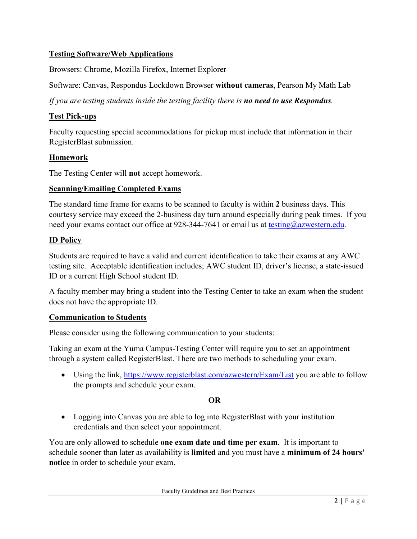# **Testing Software/Web Applications**

Browsers: Chrome, Mozilla Firefox, Internet Explorer

Software: Canvas, Respondus Lockdown Browser **without cameras**, Pearson My Math Lab

*If you are testing students inside the testing facility there is no need to use Respondus.* 

# **Test Pick-ups**

Faculty requesting special accommodations for pickup must include that information in their RegisterBlast submission.

#### **Homework**

The Testing Center will **not** accept homework.

#### **Scanning/Emailing Completed Exams**

The standard time frame for exams to be scanned to faculty is within **2** business days. This courtesy service may exceed the 2-business day turn around especially during peak times. If you need your exams contact our office at 928-344-7641 or email us at [testing@azwestern.edu.](mailto:testing@azwestern.edu)

#### **ID Policy**

Students are required to have a valid and current identification to take their exams at any AWC testing site. Acceptable identification includes; AWC student ID, driver's license, a state-issued ID or a current High School student ID.

A faculty member may bring a student into the Testing Center to take an exam when the student does not have the appropriate ID.

#### **Communication to Students**

Please consider using the following communication to your students:

Taking an exam at the Yuma Campus-Testing Center will require you to set an appointment through a system called RegisterBlast. There are two methods to scheduling your exam.

• Using the link,<https://www.registerblast.com/azwestern/Exam/List> you are able to follow the prompts and schedule your exam.

# **OR**

• Logging into Canvas you are able to log into Register Blast with your institution credentials and then select your appointment.

You are only allowed to schedule **one exam date and time per exam**. It is important to schedule sooner than later as availability is **limited** and you must have a **minimum of 24 hours' notice** in order to schedule your exam.